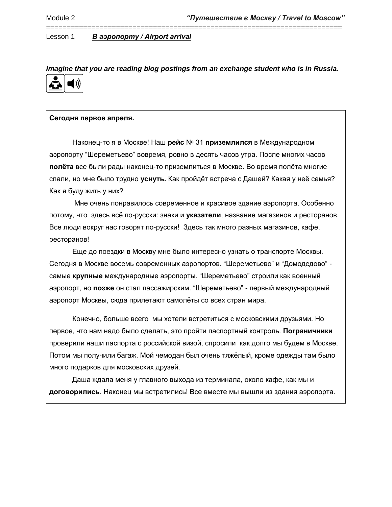*Imagine that you are reading blog postings from an exchange student who is in Russia.*

========================================================================



# **Сегодня первое апреля.**

Наконец-то я в Москве! Наш **рейс** № 31 **приземлился** в Международном аэропорту "Шереметьево" вовремя, ровно в десять часов утра. После многих часов **полёта** все были рады наконец-то приземлиться в Москве. Во время полёта многие спали, но мне было трудно **уснуть.** Как пройдёт встреча с Дашей? Какая у неё семья? Как я буду жить у них?

Мне очень понравилось современное и красивое здание аэропорта. Особенно потому, что здесь всё по-русски: знаки и **указатели**, название магазинов и ресторанов. Все люди вокруг нас говорят по-русски! Здесь так много разных магазинов, кафе, ресторанов!

Еще до поездки в Москву мне было интересно узнать о транспорте Москвы. Сегодня в Москве восемь современных аэропортов. "Шереметьево" и "Домодедово" самые **крупные** международные аэропорты. "Шереметьево" строили как военный аэропорт, но **позже** он стал пассажирским. "Шереметьево" - первый международный аэропорт Москвы, сюда прилетают самолёты со всех стран мира.

Конечно, больше всего мы хотели встретиться с московскими друзьями. Но первое, что нам надо было сделать, это пройти паспортный контроль. **Пограничники**  проверили наши паспорта с российской визой, спросили как долго мы будем в Москве. Потом мы получили багаж. Мой чемодан был очень тяжёлый, кроме одежды там было много подарков для московских друзей.

Даша ждала меня у главного выхода из терминала, около кафе, как мы и **договорились**. Наконец мы встретились! Все вместе мы вышли из здания аэропорта.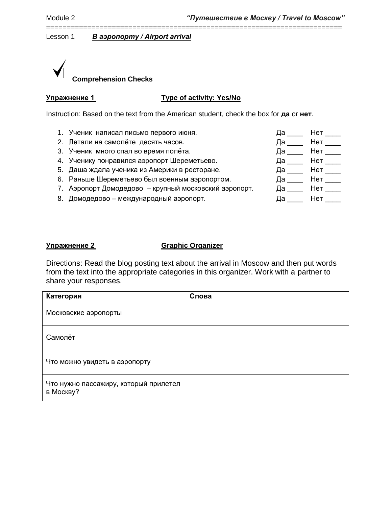# **Comprehension Checks**

| Упражнение 1 |  |  |  |  |  |
|--------------|--|--|--|--|--|
|              |  |  |  |  |  |

# **Type of activity: Yes/No**

========================================================================

Instruction: Based on the text from the American student, check the box for **да** or **нет**.

- 1. Ученик написал письмо первого июня.
- 2. Летали на самолёте десять часов.
- 3. Ученик много спал во время полёта.
- 4. Ученику понравился аэропорт Шереметьево.
- 5. Даша ждала ученика из Америки в ресторане.
- 6. Раньше Шереметьево был военным аэропортом.
- 7. Аэропорт Домодедово крупный московский аэропорт.
- 8. Домодедово международный аэропорт.

| Да      | Нет      |
|---------|----------|
| Да      | Нет      |
| Да ____ | Нет $\_$ |
| Да      | Нет      |
| Да      | Нет      |
| Да      | Нет      |
| Да      | Нет      |
| Да      | Нет      |

# **Упражнение 2 Graphic Organizer**

Directions: Read the blog posting text about the arrival in Moscow and then put words from the text into the appropriate categories in this organizer. Work with a partner to share your responses.

| Категория                                          | Слова |
|----------------------------------------------------|-------|
| Московские аэропорты                               |       |
| Самолёт                                            |       |
| Что можно увидеть в аэропорту                      |       |
| Что нужно пассажиру, который прилетел<br>в Москву? |       |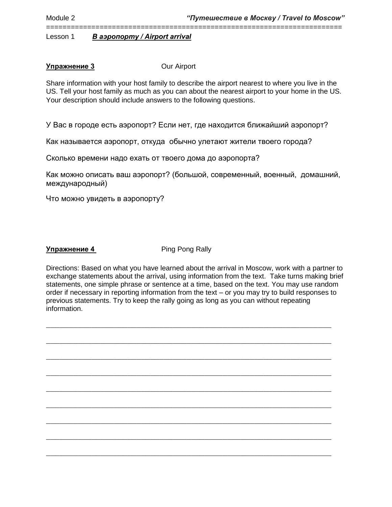# **Упражнение 3** Оur Airport

Share information with your host family to describe the airport nearest to where you live in the US. Tell your host family as much as you can about the nearest airport to your home in the US. Your description should include answers to the following questions.

========================================================================

У Вас в городе есть аэропорт? Если нет, где находится ближайший аэропорт?

Как называется аэропорт, откуда обычно улетают жители твоего города?

Сколько времени надо ехать от твоего дома до аэропорта?

Как можно описать ваш аэропорт? (большой, современный, военный, домашний, международный)

Что можно увидеть в аэропорту?

**Упражнение 4 Ping Pong Rally** 

Directions: Based on what you have learned about the arrival in Moscow, work with a partner to exchange statements about the arrival, using information from the text. Take turns making brief statements, one simple phrase or sentence at a time, based on the text. You may use random order if necessary in reporting information from the text – or you may try to build responses to previous statements. Try to keep the rally going as long as you can without repeating information.

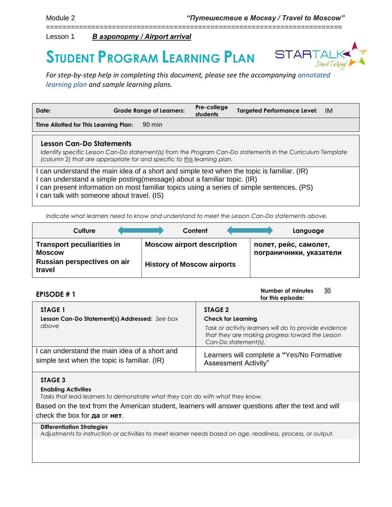# **STUDENT PROGRAM LEARNING PLAN**



 $\sim$ 

*For step-by-step help in completing this document, please see the accompanying [annotated](https://startalk.umd.edu/public/system/files/resources/studentprogramannotatedlearningplan.pdf)  [learning plan](https://startalk.umd.edu/public/system/files/resources/studentprogramannotatedlearningplan.pdf) and sample learning plans.*

========================================================================

| Date:                                                                                                                                                                                                                                                                                                              | <b>Grade Range of Learners:</b>                                         | Pre-college<br>students | Targeted Performance Level: IM                                                                             |  |  |  |
|--------------------------------------------------------------------------------------------------------------------------------------------------------------------------------------------------------------------------------------------------------------------------------------------------------------------|-------------------------------------------------------------------------|-------------------------|------------------------------------------------------------------------------------------------------------|--|--|--|
| Time Allotted for This Learning Plan:                                                                                                                                                                                                                                                                              | 90 min                                                                  |                         |                                                                                                            |  |  |  |
| Lesson Can-Do Statements                                                                                                                                                                                                                                                                                           | (column 2) that are appropriate for and specific to this learning plan. |                         | Identify specific Lesson Can-Do statement(s) from the Program Can-Do statements in the Curriculum Template |  |  |  |
| I can understand the main idea of a short and simple text when the topic is familiar. (IR)<br>I can understand a simple posting (message) about a familiar topic. (IR)<br>I can present information on most familiar topics using a series of simple sentences. (PS)<br>I can talk with someone about travel. (IS) |                                                                         |                         |                                                                                                            |  |  |  |

*Indicate what learners need to know and understand to meet the Lesson Can-Do statements above.* 

|                                                                                             | Culture |  | Content                                                                |  | Language                                         |
|---------------------------------------------------------------------------------------------|---------|--|------------------------------------------------------------------------|--|--------------------------------------------------|
| <b>Transport peculiarities in</b><br><b>Moscow</b><br>Russian perspectives on air<br>travel |         |  | <b>Moscow airport description</b><br><b>History of Moscow airports</b> |  | полет, рейс, самолет,<br>пограничники, указатели |

| <b>EPISODE #1</b>                                                                             | 30<br>Number of minutes<br>for this episode:                                                                                                                             |
|-----------------------------------------------------------------------------------------------|--------------------------------------------------------------------------------------------------------------------------------------------------------------------------|
| STAGE 1<br>Lesson Can-Do Statement(s) Addressed: See box<br>above                             | STAGE 2<br><b>Check for Learning</b><br>Task or activity learners will do to provide evidence<br>that they are making progress toward the Lesson<br>Can-Do statement(s). |
| I can understand the main idea of a short and<br>simple text when the topic is familiar. (IR) | Learners will complete a "Yes/No Formative"<br><b>Assessment Activity"</b>                                                                                               |

# **STAGE 3**

# **Enabling Activities**

*Tasks that lead learners to demonstrate what they can do with what they know.*

Based on the text from the American student, learners will answer questions after the text and will check the box for **да** or **нет**.

# **Differentiation Strategies**

*Adjustments to instruction or activities to meet learner needs based on age, readiness, process, or output.*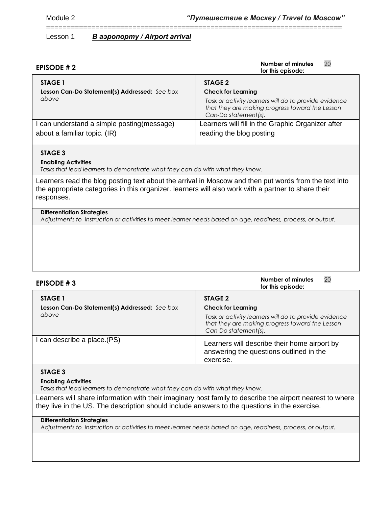========================================================================

Lesson 1 *В аэропорту / Airport arrival* 

| <b>EPISODE #2</b>                             | 20<br>Number of minutes<br>for this episode:                                                                                     |  |  |
|-----------------------------------------------|----------------------------------------------------------------------------------------------------------------------------------|--|--|
| STAGE 1                                       | STAGE 2                                                                                                                          |  |  |
| Lesson Can-Do Statement(s) Addressed: See box | <b>Check for Learning</b>                                                                                                        |  |  |
| above                                         | Task or activity learners will do to provide evidence<br>that they are making progress toward the Lesson<br>Can-Do statement(s). |  |  |
| can understand a simple posting (message)     | Learners will fill in the Graphic Organizer after                                                                                |  |  |
| about a familiar topic. (IR)                  | reading the blog posting                                                                                                         |  |  |
|                                               |                                                                                                                                  |  |  |

# **STAGE 3**

#### **Enabling Activities**

*Tasks that lead learners to demonstrate what they can do with what they know.*

Learners read the blog posting text about the arrival in Moscow and then put words from the text into the appropriate categories in this organizer. learners will also work with a partner to share their responses.

#### **Differentiation Strategies**

*Adjustments to instruction or activities to meet learner needs based on age, readiness, process, or output.*

| <b>EPISODE #3</b>                                                 | 20<br>Number of minutes<br>for this episode:                                                                                                                             |
|-------------------------------------------------------------------|--------------------------------------------------------------------------------------------------------------------------------------------------------------------------|
| STAGE 1<br>Lesson Can-Do Statement(s) Addressed: See box<br>above | STAGE 2<br><b>Check for Learning</b><br>Task or activity learners will do to provide evidence<br>that they are making progress toward the Lesson<br>Can-Do statement(s). |
| I can describe a place.(PS)                                       | Learners will describe their home airport by<br>answering the questions outlined in the<br>exercise.                                                                     |

# **STAGE 3**

#### **Enabling Activities**

*Tasks that lead learners to demonstrate what they can do with what they know.*

Learners will share information with their imaginary host family to describe the airport nearest to where they live in the US. The description should include answers to the questions in the exercise.

#### **Differentiation Strategies**

*Adjustments to instruction or activities to meet learner needs based on age, readiness, process, or output.*